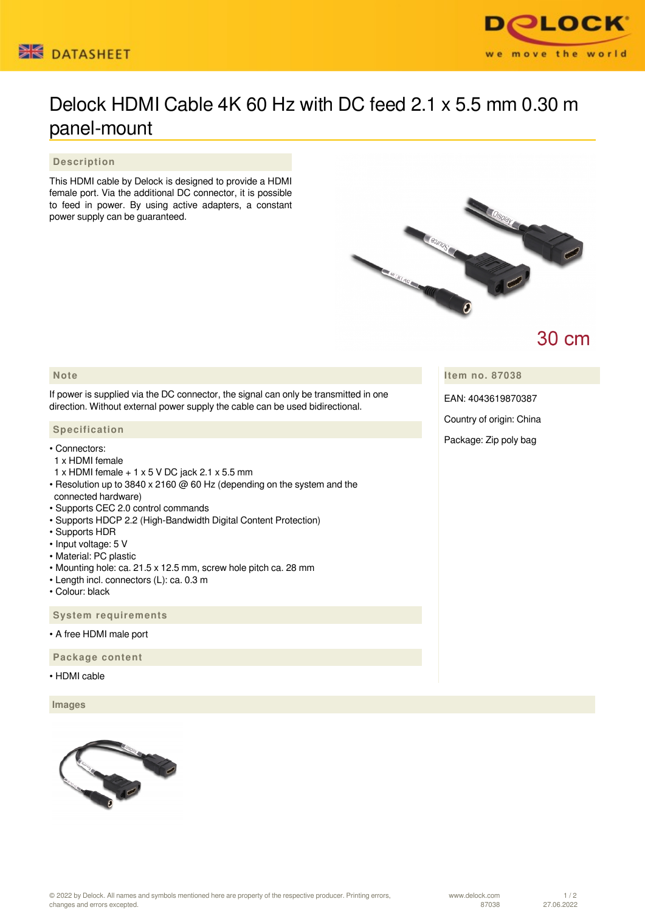



# Delock HDMI Cable 4K 60 Hz with DC feed 2.1 x 5.5 mm 0.30 m panel-mount

### **Description**

This HDMI cable by Delock is designed to provide a HDMI female port. Via the additional DC connector, it is possible to feed in power. By using active adapters, a constant power supply can be guaranteed.



## **30 cm**

**Item no. 87038**

EAN: 4043619870387

Country of origin: China

Package: Zip poly bag

### **Note**

If power is supplied via the DC connector, the signal can only be transmitted in one direction. Without external power supply the cable can be used bidirectional.

#### **Specification**

- Connectors:
- 1 x HDMI female
- 1 x HDMI female + 1 x 5 V DC jack 2.1 x 5.5 mm
- Resolution up to 3840 x 2160 @ 60 Hz (depending on the system and the connected hardware)
- Supports CEC 2.0 control commands
- Supports HDCP 2.2 (High-Bandwidth Digital Content Protection)
- Supports HDR
- Input voltage: 5 V
- Material: PC plastic
- Mounting hole: ca. 21.5 x 12.5 mm, screw hole pitch ca. 28 mm
- Length incl. connectors (L): ca. 0.3 m
- Colour: black

 **System requirements**

• A free HDMI male port

 **Package content**

• HDMI cable

 **Images**